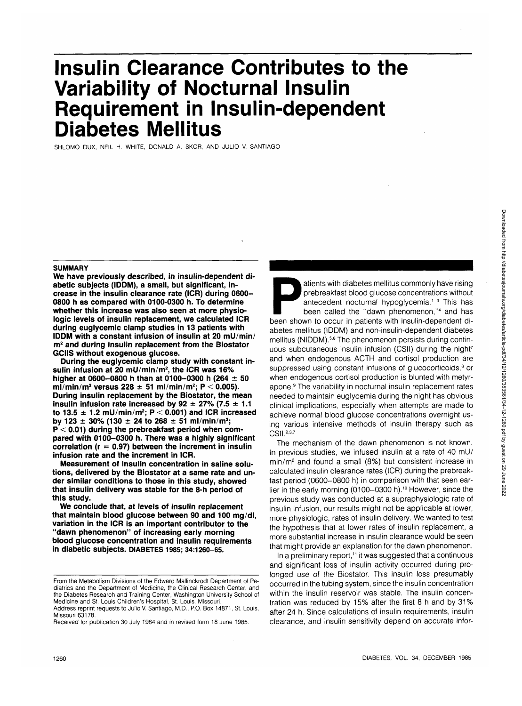# **Insulin Clearance Contributes to the Variability of Nocturnal Insulin Requirement in Insulin-dependent Diabetes Mellitus**

SHLOMO DUX, NEIL H. WHITE, DONALD A. SKOR, AND JULIO V. SANTIAGO

#### **SUMMARY**

**We have previously described, in insulin-dependent diabetic subjects (IDDM), a small, but significant, increase in the insulin clearance rate (ICR) during 0600- 0800 h as compared with 0100-0300 h. To determine whether this increase was also seen at more physiologic levels of insulin replacement, we calculated ICR during euglycemic clamp studies in 13 patients with IDDM with a constant infusion of insulin at 20 mU/min/ m2 and during insulin replacement from the Biostator GCIIS without exogenous glucose.**

**During the euglycemic clamp study with constant insulin infusion at 20 mU/min/m<sup>2</sup> , the ICR was 16% higher at 0600-0800 h than at 0100-0300 h (264 ± 50 ml/min/m<sup>2</sup> versus 228 ± 51 ml/min/m<sup>2</sup> ; P < 0.005). During insulin replacement by the Biostator, the mean insulin infusion rate increased by 92**  $\pm$  **27% (7.5**  $\pm$  **1.1 to 13.5 ±1.2 mU/min/m<sup>2</sup> ; P < 0.001) and ICR increased by 123 ± 30% (130 ± 24 to 268 ± 51 ml/min/m<sup>2</sup> ; P < 0.01) during the prebreakfast period when compared with 0100-0300 h. There was a highly significant correlation (r = 0.97) between the increment in insulin infusion rate and the increment in ICR.**

**Measurement of insulin concentration in saline solutions, delivered by the Biostator at a same rate and under similar conditions to those in this study, showed that insulin delivery was stable for the 8-h period of this study.**

**We conclude that, at levels of insulin replacement that maintain blood glucose between 90 and 100 mg/dl, variation in the ICR is an important contributor to the "dawn phenomenon" of increasing early morning blood glucose concentration and insulin requirements in diabetic subjects. DIABETES 1985; 34:1260-65.**

Received for publication 30 July 1984 and in revised form 18 June 1985.

atients with diabetes mellitus commonly have rising<br>prebreakfast blood glucose concentrations without<br>antecedent nocturnal hypoglycemia.<sup>1-3</sup> This has<br>been called the "dawn phenomenon,"<sup>4</sup> and has<br>been shown to occur in pa prebreakfast blood glucose concentrations without antecedent nocturnal hypoglycemia.<sup>1-3</sup> This has been called the "dawn phenomenon,"<sup>4</sup> and has been shown to occur in patients with insulin-dependent diabetes mellitus (IDDM) and non-insulin-dependent diabetes mellitus (NIDDM).<sup>5,6</sup> The phenomenon persists during continuous subcutaneous insulin infusion (CSII) during the night<sup>7</sup> and when endogenous ACTH and cortisol production are suppressed using constant infusions of glucocorticoids,<sup>8</sup> or when endogenous cortisol production is blunted with metyrapone.<sup>9</sup> The variability in nocturnal insulin replacement rates needed to maintain euglycemia during the night has obvious clinical implications, especially when attempts are made to achieve normal blood glucose concentrations overnight using various intensive methods of insulin therapy such as CSII.<sup>237</sup>

The mechanism of the dawn phenomenon is not known. In previous studies, we infused insulin at a rate of 40 mU/ min/m<sup>2</sup> and found a small (8%) but consistent increase in calculated insulin clearance rates (ICR) during the prebreakfast period (0600-0800 h) in comparison with that seen earlier in the early morning (0100-0300 h).<sup>10</sup> However, since the previous study was conducted at a supraphysiologic rate of insulin infusion, our results might not be applicable at lower, more physiologic, rates of insulin delivery. We wanted to test the hypothesis that at lower rates of insulin replacement, a more substantial increase in insulin clearance would be seen that might provide an explanation for the dawn phenomenon.

In a preliminary report,<sup>11</sup> it was suggested that a continuous and significant loss of insulin activity occurred during prolonged use of the Biostator. This insulin loss presumably occurred in the tubing system, since the insulin concentration within the insulin reservoir was stable. The insulin concentration was reduced by 15% after the first 8 h and by 31% after 24 h. Since calculations of insulin requirements, insulin clearance, and insulin sensitivity depend on accurate infor-

From the Metabolism Divisions of the Edward Mallinckrodt Department of Pediatrics and the Department of Medicine, the Clinical Research Center, and the Diabetes Research and Training Center, Washington University School of Medicine and St. Louis Children's Hospital, St. Louis, Missouri.

Address reprint requests to Julio V. Santiago, M.D., P.O. Box 14871, St. Louis, Missouri 63178.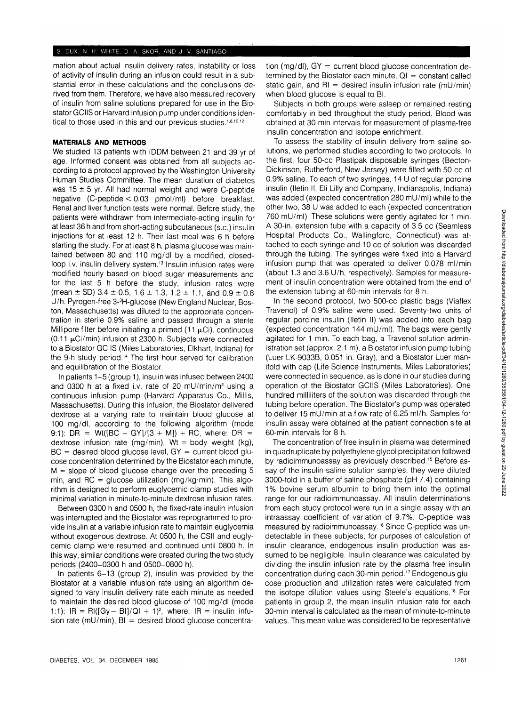#### S DUX. N H WHITE. D. A. SKOR, AND J. V. SANTIAGO

mation about actual insulin delivery rates, instability or loss of activity of insulin during an infusion could result in a substantial error in these calculations and the conclusions derived from them. Therefore, we have also measured recovery of insulin from saline solutions prepared for use in the Biostator GCIIS or Harvard infusion pump under conditions identical to those used in this and our previous studies.<sup>1,8,10,12</sup>

# **MATERIALS AND METHODS**

We studied 13 patients with IDDM between 21 and 39 yr of age. Informed consent was obtained from all subjects according to a protocol approved by the Washington University Human Studies Committee. The mean duration of diabetes was  $15 \pm 5$  yr. All had normal weight and were C-peptide negative (C-peptide < 0.03 pmol/ml) before breakfast. Renal and liver function tests were normal. Before study, the patients were withdrawn from intermediate-acting insulin for at least 36 h and from short-acting subcutaneous (s.c.) insulin injections for at least 12 h. Their last meal was 6 h before starting the study. For at least 8 h, plasma glucose was maintained between 80 and 110 mg/dl by a modified, closedloop i.v. insulin delivery system.<sup>13</sup> Insulin infusion rates were modified hourly based on blood sugar measurements and for the last 5 h before the study, infusion rates were (mean  $\pm$  SD) 3.4  $\pm$  0.5, 1.6  $\pm$  1.3, 1.2  $\pm$  1.1, and 0.9  $\pm$  0.8 U/h. Pyrogen-free 3-3 H-glucose (New England Nuclear, Boston, Massachusetts) was diluted to the appropriate concentration in sterile 0.9% saline and passed through a sterile Millipore filter before initiating a primed (11  $\mu$ Ci), continuous  $(0.11 \mu C i/min)$  infusion at 2300 h. Subjects were connected to a Biostator GCIIS (Miles Laboratories, Elkhart, Indiana) for the 9-h study period.<sup>14</sup> The first hour served for calibration and equilibration of the Biostator.

In patients 1-5 (group 1), insulin was infused between 2400 and 0300 h at a fixed i.v. rate of 20 mU/min/m<sup>2</sup> using a continuous infusion pump (Harvard Apparatus Co., Millis, Massachusetts). During this infusion, the Biostator delivered dextrose at a varying rate to maintain blood glucose at 100 mg/dl, according to the following algorithm (mode 9:1): DR = Wt( $[BC - GY]/[3 + M]$ ) + RC, where: DR = dextrose infusion rate (mg/min),  $Wt = body$  weight (kg),  $BC =$  desired blood glucose level,  $GY =$  current blood glucose concentration determined by the Biostator each minute,  $M =$  slope of blood glucose change over the preceding 5 min, and RC = glucose utilization (mg/kg $\cdot$ min). This algorithm is designed to perform euglycemic clamp studies with minimal variation in minute-to-minute dextrose infusion rates.

Between 0300 h and 0500 h, the fixed-rate insulin infusion was interrupted and the Biostator was reprogrammed to provide insulin at a variable infusion rate to maintain euglycemia without exogenous dextrose. At 0500 h, the CSII and euglycemic clamp were resumed and continued until 0800 h. In this way, similar conditions were created during the two study periods (2400-0300 h and 0500-0800 h).

In patients 6-13 (group 2), insulin was provided by the Biostator at a variable infusion rate using an algorithm designed to vary insulin delivery rate each minute as needed to maintain the desired blood glucose of 100 mg/dl (mode 1:1):  $IR = Ri([Gy - BI]/QI + 1)^2$ , where:  $IR = insulin$  infusion rate (mU/min),  $BI =$  desired blood glucose concentration (mg/dl),  $GY = current blood glucose concentration$ termined by the Biostator each minute,  $QI = constant$  called static gain, and  $RI =$  desired insulin infusion rate (mU/min) when blood glucose is equal to Bl.

Subjects in both groups were asleep or remained resting comfortably in bed throughout the study period. Blood was obtained at 30-min intervals for measurement of plasma-free insulin concentration and isotope enrichment.

To assess the stability of insulin delivery from saline solutions, we performed studies according to two protocols. In the first, four 50-cc Plastipak disposable syringes (Becton-Dickinson, Rutherford, New Jersey) were filled with 50 cc of 0.9% saline. To each of two syringes, 14 U of regular porcine insulin (lletin II, Eli Lilly and Company, Indianapolis, Indiana) was added (expected concentration 280 mU/ml) while to the other two, 38 U was added to each (expected concentration 760 mU/ml). These solutions were gently agitated for 1 min. A 30-in. extension tube with a capacity of 3.5 cc (Seamless Hospital Products Co., Wallingford, Connecticut) was attached to each syringe and 10 cc of solution was discarded through the tubing. The syringes were fixed into a Harvard infusion pump that was operated to deliver 0.078 ml/min (about 1.3 and 3.6 U/h, respectively). Samples for measurement of insulin concentration were obtained from the end of the extension tubing at 60-min intervals for 8 h.

In the second protocol, two 500-cc plastic bags (Viaflex Travenol) of 0.9% saline were used. Seventy-two units of regular porcine insulin (lletin II) was added into each bag (expected concentration 144 mU/ml). The bags were gently agitated for 1 min. To each bag, a Travenol solution administration set (approx. 2.1 m), a Biostator infusion pump tubing (Luer LK-9033B, 0.051 in. Gray), and a Biostator Luer manifold with cap (Life Science Instruments, Miles Laboratories) were connected in sequence, as is done in our studies during operation of the Biostator GCIIS (Miles Laboratories). One hundred milliliters of the solution was discarded through the tubing before operation. The Biostator's pump was operated to deliver 15 mU/min at a flow rate of 6.25 ml/h. Samples for insulin assay were obtained at the patient connection site at 60-min intervals for 8 h.

The concentration of free insulin in plasma was determined in quadruplicate by polyethylene glycol precipitation followed by radioimmunoassay as previously described.<sup>15</sup> Before assay of the insulin-saline solution samples, they were diluted 3000-fold in a buffer of saline phosphate (pH 7.4) containing 1% bovine serum albumin to bring them into the optimal range for our radioimmunoassay. All insulin determinations from each study protocol were run in a single assay with an intraassay coefficient of variation of 9.7%. C-peptide was measured by radioimmunoassay.<sup>16</sup> Since C-peptide was undetectable in these subjects, for purposes of calculation of insulin clearance, endogenous insulin production was assumed to be negligible. Insulin clearance was calculated by dividing the insulin infusion rate by the plasma free insulin concentration during each 30-min period.<sup>17</sup> Endogenous glucose production and utilization rates were calculated from the isotope dilution values using Steele's equations.18 For patients in group 2, the mean insulin infusion rate for each 30-min interval is calculated as the mean of minute-to-minute values. This mean value was considered to be representative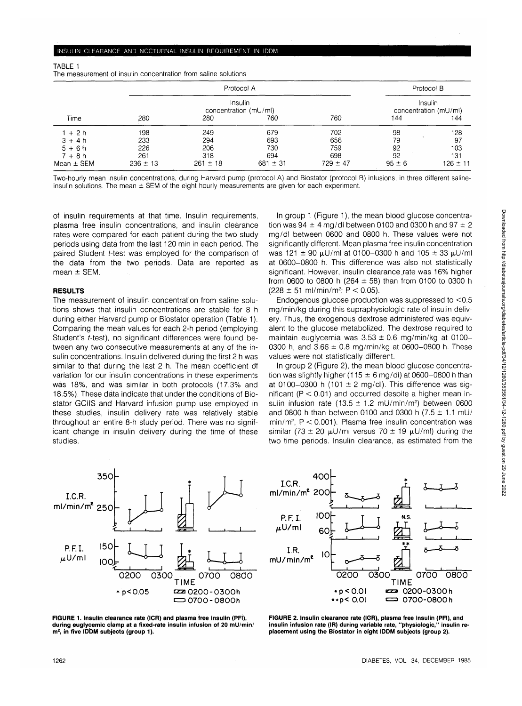| The measurement of insulin concentration from saline solutions |                                                |              |              |              |                                                |              |
|----------------------------------------------------------------|------------------------------------------------|--------------|--------------|--------------|------------------------------------------------|--------------|
|                                                                | Protocol A<br>Insulin<br>concentration (mU/ml) |              |              |              | Protocol B<br>Insulin<br>concentration (mU/ml) |              |
|                                                                |                                                |              |              |              |                                                |              |
| $1 + 2h$                                                       | 198                                            | 249          | 679          | 702          | 98                                             | 128          |
| $3 + 4h$                                                       | 233                                            | 294          | 693          | 656          | 79                                             | 97           |
| $5 + 6h$                                                       | 226                                            | 206          | 730          | 759          | 92                                             | 103          |
| $7 + 8h$                                                       | 261                                            | 318          | 694          | 698          | 92                                             | 131          |
| Mean $\pm$ SEM                                                 | $236 \pm 13$                                   | $261 \pm 18$ | $681 \pm 31$ | $729 \pm 47$ | $95 \pm 6$                                     | $126 \pm 11$ |

Two-hourly mean insulin concentrations, during Harvard pump (protocol A) and Biostator (protocol B) infusions, in three different salineinsulin solutions. The mean  $\pm$  SEM of the eight hourly measurements are given for each experiment.

of insulin requirements at that time. Insulin requirements, plasma free insulin concentrations, and insulin clearance rates were compared for each patient during the two study periods using data from the last 120 min in each period. The paired Student t-test was employed for the comparison of the data from the two periods. Data are reported as mean ± SEM.

## **RESULTS**

TABLE 1

The measurement of insulin concentration from saline solutions shows that insulin concentrations are stable for 8 h during either Harvard pump or Biostator operation (Table 1). Comparing the mean values for each 2-h period (employing Student's *t*-test), no significant differences were found between any two consecutive measurements at any of the insulin concentrations. Insulin delivered during the first 2 h was similar to that during the last 2 h. The mean coefficient df variation for our insulin concentrations in these experiments was 18%, and was similar in both protocols (17.3% and 18.5%). These data indicate that under the conditions of Biostator GCIIS and Harvard infusion pump use employed in these studies, insulin delivery rate was relatively stable throughout an entire 8-h study period. There was no significant change in insulin delivery during the time of these studies.

In group 1 (Figure 1), the mean blood glucose concentration was 94  $\pm$  4 mg/dl between 0100 and 0300 h and 97  $\pm$  2 mg/dl between 0600 and 0800 h. These values were not significantly different. Mean plasma free insulin concentration was 121  $\pm$  90  $\mu$ U/ml at 0100-0300 h and 105  $\pm$  33  $\mu$ U/ml at 0600-0800 h. This difference was also not statistically significant. However, insulin clearance rate was 16% higher from 0600 to 0800 h (264  $\pm$  58) than from 0100 to 0300 h  $(228 \pm 51 \text{ ml/min/m}^2; P < 0.05)$ .

Endogenous glucose production was suppressed to <0.5 mg/min/kg during this supraphysiologic rate of insulin delivery. Thus, the exogenous dextrose administered was equivalent to the glucose metabolized. The dextrose required to maintain euglycemia was  $3.53 \pm 0.6$  mg/min/kg at 0100-0300 h, and  $3.66 \pm 0.8$  mg/min/kg at 0600-0800 h. These values were not statistically different.

In group 2 (Figure 2), the mean blood glucose concentration was slightly higher (115  $\pm$  6 mg/dl) at 0600–0800 h than at 0100-0300 h (101  $\pm$  2 mg/dl). This difference was significant ( $P < 0.01$ ) and occurred despite a higher mean insulin infusion rate  $(13.5 \pm 1.2 \text{ mU/min/m}^2)$  between 0600 and 0800 h than between 0100 and 0300 h (7.5  $\pm$  1.1 mU/ min/m<sup>2</sup> , P < 0.001). Plasma free insulin concentration was similar (73 ± 20  $\mu$ U/ml versus 70 ± 19  $\mu$ U/ml) during the two time periods. Insulin clearance, as estimated from the





**FIGURE 1. Insulin clearance rate (ICR) and plasma free insulin (PFI), during euglycemic clamp at a fixed-rate insulin infusion of 20 mU/min/ m<sup>2</sup> , in five IDDM subjects (group 1).**

**FIGURE 2. Insulin clearance rate (ICR), plasma free insulin (PFI), and insulin infusion rate (IR) during variable rate, "physiologic," insulin replacement using the Biostator in eight IDDM subjects (group 2).**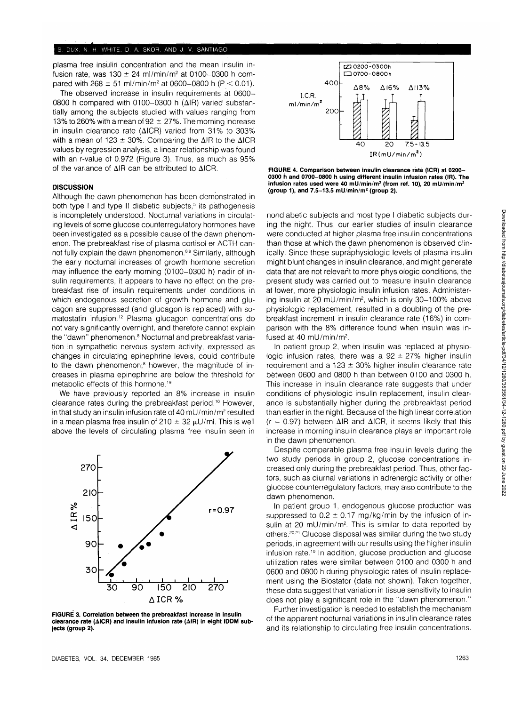plasma free insulin concentration and the mean insulin infusion rate, was  $130 \pm 24$  ml/min/m<sup>2</sup> at 0100-0300 h compared with  $268 \pm 51$  ml/min/m<sup>2</sup> at 0600–0800 h (P < 0.01).

The observed increase in insulin requirements at 0600- 0800 h compared with 0100-0300 h  $(\Delta IR)$  varied substantially among the subjects studied with values ranging from 13% to 260% with a mean of 92  $\pm$  27%. The morning increase in insulin clearance rate ( $\triangle$ ICR) varied from 31% to 303% with a mean of 123  $\pm$  30%. Comparing the  $\Delta$ IR to the  $\Delta$ ICR values by regression analysis, a linear relationship was found with an r-value of 0.972 (Figure 3). Thus, as much as 95% of the variance of AIR can be attributed to AICR.

#### **DISCUSSION**

Although the dawn phenomenon has been demonstrated in both type I and type II diabetic subjects,<sup>5</sup> its pathogenesis is incompletely understood. Nocturnal variations in circulating levels of some glucose counterregulatory hormones have been investigated as a possible cause of the dawn phenomenon. The prebreakfast rise of plasma cortisol er ACTH cannot fully explain the dawn phenomenon.<sup>8,9</sup> Similarly, although the early nocturnal increases of growth hormone secretion may influence the early morning (0100-0300 h) nadir of insulin requirements, it appears to have no effect on the prebreakfast rise of insulin requirements under conditions in which endogenous secretion of growth hormone and glucagon are suppressed (and glucagon is replaced) with somatostatin infusion.<sup>12</sup> Plasma glucagon concentrations do not vary significantly overnight, and therefore cannot explain the "dawn" phenomenon.<sup>8</sup> Nocturnal and prebreakfast variation in sympathetic nervous system activity, expressed as changes in circulating epinephrine levels, could contribute to the dawn phenomenon;<sup>8</sup> however, the magnitude of increases in plasma epinephrine are below the threshold for metabolic effects of this hormone.<sup>19</sup>

We have previously reported an 8% increase in insulin clearance rates during the prebreakfast period.<sup>10</sup> However, in that study an insulin infusion rate of 40 mU/min/m<sup>2</sup> resulted in a mean plasma free insulin of 210  $\pm$  32  $\mu$ U/ml. This is well above the levels of circulating plasma free insulin seen in



**FIGURE 3. Correlation between the prebreakfast increase in insulin clearance rate (AICR) and insulin infusion rate (AIR) in eight IDDM subjects (group 2).**



**FIGURE 4. Comparison between insulin clearance rate (ICR) at 0200- 0300 h and 0700-0800 h using different insulin infusion rates (IR). The infusion rates used were 40 mU/min/m<sup>2</sup> (from ref. 10), 20 mU/min/m<sup>2</sup> (group 1), and 7.5-13.5 mU/min/m<sup>2</sup> (group 2).**

nondiabetic subjects and most type I diabetic subjects during the night. Thus, our earlier studies of insulin clearance were conducted at higher plasma free insulin concentrations than those at which the dawn phenomenon is observed clinically. Since these supraphysiologic levels of plasma insulin might blunt changes in insulin clearance, and might generate data that are not relevant to more physiologic conditions, the present study was carried out to measure insulin clearance at lower, more physiologic insulin infusion rates. Administering insulin at 20 mU/min/m<sup>2</sup> , which is only 30-100% above physiologic replacement, resulted in a doubling of the prebreakfast increment in insulin clearance rate (16%) in comparison with the 8% difference found when insulin was infused at 40 mU/min/m<sup>2</sup>.

In patient group 2, when insulin was replaced at physiologic infusion rates, there was a  $92 \pm 27\%$  higher insulin requirement and a 123  $\pm$  30% higher insulin clearance rate between 0600 and 0800 h than between 0100 and 0300 h. This increase in insulin clearance rate suggests that under conditions of physiologic insulin replacement, insulin clearance is substantially higher during the prebreakfast period than earlier in the night. Because of the high linear correlation  $(r = 0.97)$  between  $\Delta$ IR and  $\Delta$ ICR, it seems likely that this increase in morning insulin clearance plays an important role in the dawn phenomenon.

Despite comparable plasma free insulin levels during the two study periods in group 2, glucose concentrations increased only during the prebreakfast period. Thus, other factors, such as diurnal variations in adrenergic activity or other glucose counterregulatory factors, may also contribute to the dawn phenomenon.

In patient group 1, endogenous glucose production was suppressed to  $0.2 \pm 0.17$  mg/kg/min by the infusion of insulin at 20 mU/min/m<sup>2</sup>. This is similar to data reported by others.<sup>20,21</sup> Glucose disposal was similar during the two study periods, in agreement with our results using the higher insulin infusion rate.10 In addition, glucose production and glucose utilization rates were similar between 0100 and 0300 h and 0600 and 0800 h during physiologic rates of insulin replacement using the Biostator (data not shown). Taken together, these data suggest that variation in tissue sensitivity to insulin does not play a significant role in the "dawn phenomenon."

Further investigation is needed to establish the mechanism of the apparent nocturnal variations in insulin clearance rates and its relationship to circulating free insulin concentrations.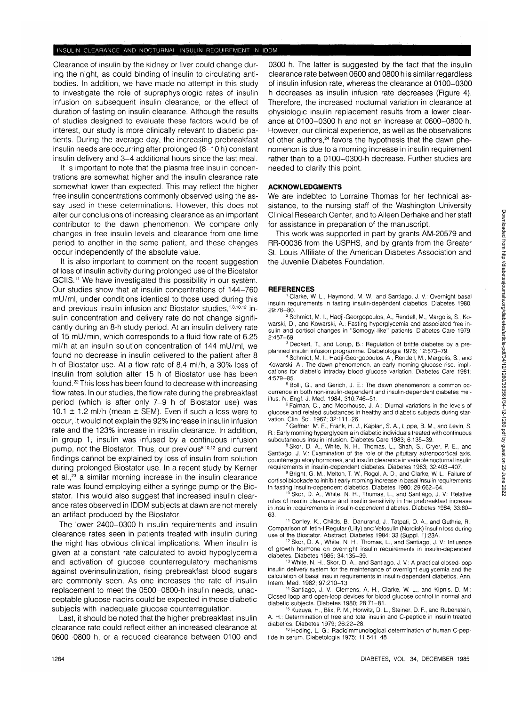#### INSULIN CLEARANCE AND NOCTURNAL INSULIN REQUIREMENT IN IDDM

Clearance of insulin by the kidney or liver could change during the night, as could binding of insulin to circulating antibodies. In addition, we have made no attempt in this study to investigate the roie of supraphysiologic rates of insulin infusion on subsequent insulin clearance, or the effect of duration of fasting on insulin clearance. Although the results of studies designed to evaluate these factors would be of interest, our study is more clinically relevant to diabetic patients. During the average day, the increasing prebreakfast insulin needs are occurring after prolonged (8-10 h) constant insulin delivery and 3-4 additional hours since the last meal.

It is important to note that the plasma free insulin concentrations are somewhat higher and the insulin clearance rate somewhat lower than expected. This may reflect the higher free insulin concentrations commonly observed using the assay used in these determinations. However, this does not alter our conclusions of increasing clearance as an important contributor to the dawn phenomenon. We compare only changes in free insulin levels and clearance from one time period to another in the same patient, and these changes occur independently of the absolute value.

It is also important to comment on the recent suggestion of loss of insulin activity during prolonged use of the Biostator GCIIS.<sup>11</sup> We have investigated this possibility in our system. Our studies show that at insulin concentrations of 144-760 mU/ml, under conditions identical to those used during this and previous insulin infusion and Biostator studies,<sup>1,8,10,12</sup> insulin concentration and delivery rate do not change significantly during an 8-h study period. At an insulin delivery rate of 15 mU/min, which corresponds to a fluid flow rate of 6.25 ml/h at an insulin solution concentration of 144 mU/ml, we found no decrease in insulin delivered to the patient after 8 h of Biostator use. At a flow rate of 8.4 ml/h, a 30% loss of insulin from solution after 15 h of Biostator use has been found.<sup>22</sup> This loss has been found to decrease with increasing flow rates. In our studies, the flow rate during the prebreakfast period (which is after only 7-9 h of Biostator use) was 10.1  $\pm$  1.2 ml/h (mean  $\pm$  SEM). Even if such a loss were to occur, it would not explain the 92% increase in insulin infusion rate and the 123% increase in insulin clearance. In addition, in group 1, insulin was infused by a continuous infusion pump, not the Biostator. Thus, our previous<sup>8,10,12</sup> and current findings cannot be explained by loss of insulin from solution during prolonged Biostator use. In a recent study by Kerner et al.,<sup>23</sup> a similar morning increase in the insulin clearance rate was found employing either a syringe pump or the Biostator. This would also suggest that increased insulin clearance rates observed in IDDM subjects at dawn are not merely an artifact produced by the Biostator.

The lower 2400-0300 h insulin requirements and insulin clearance rates seen in patients treated with insulin during the night has obvious clinical implications. When insulin is given at a constant rate calculated to avoid hypoglycemia and activation of glucose counterregulatory mechanisms against overinsulinization, rising prebreakfast blood sugars are commonly seen. As one increases the rate of insulin replacement to meet the 0500-0800-h insulin needs, unacceptable glucose nadirs could be expected in those diabetic subjects with inadequate glucose counterregulation.

Last, it should be noted that the higher prebreakfast insulin clearance rate could reflect either an increased clearance at 0600-0800 h, or a reduced clearance between 0100 and

0300 h. The latter is suggested by the fact that the insulin clearance rate between 0600 and 0800 h is similar regardless of insulin infusion rate, whereas the clearance at 0100-0300 h decreases as insulin infusion rate decreases (Figure 4). Therefore, the increased nocturnal variation in clearance at physiologic insulin replacement results from a lower clearance at 0100-0300 h and not an increase at 0600-0800 h. However, our clinical experience, as well as the observations of other authors,<sup>24</sup> favors the hypothesis that the dawn phenomenon is due to a morning increase in insulin requirement rather than to a 0100-0300-h decrease. Further studies are needed to clarify this point.

#### **ACKNOWLEDGMENTS**

We are indebted to Lorraine Thomas for her technical assistance, to the nursing staff of the Washington University Clinical Research Center, and to Aileen Derhake and her staff for assistance in preparation of the manuscript.

This work was supported in part by grants AM-20579 and RR-00036 from the USPHS, and by grants from the Greater St. Louis Affiliate of the American Diabetes Association and the Juvenile Diabetes Foundation.

#### **REFERENCES**

 Clarke, W. L, Haymond, M. W., and Santiago, J. V.: Overnight basal insulin requirements in fasting insulin-dependent diabetics. Diabetes 1980; 29:78-80. <sup>2</sup>

<sup>2</sup> Schmidt, M. I., Hadji-Georgopoulos, A., Rendell, M., Margolis, S., Kowarski, D., and Kowarski, A.: Fasting hyperglycemia and associated free insulin and cortisol changes in "Somogyi-like" patients. Diabetes Care 1979;  $2:457 - 69$ 

 Deckert, T., and Lorup, B.: Regulation of brittle diabetes by a preplanned insulin infusion programme. Diabetologia 1976; 12:573-79. <sup>4</sup>

 Schmidt, M. I., Hadji-Georgopoulos, A., Rendell, M., Margolis, S., and Kowarski, A.: The dawn phenomenon, an early morning glucose rise: implications for diabetic intraday blood glucose variation. Diabetes Care 1981; 4:579-85.

5 Bolli, G., and Gerich, J. E.: The dawn phenomenon: a common occurrence in both non-insulin-dependent and insulin-dependent diabetes mellitus. N. Engl. J. Med. 1984; 310:746-51.

 Faiman, C, and Moorhouse, J. A.: Diurnal variations in the levels of glucose and related substances in healthy and diabetic subjects during starvation. Clin. Sci. 1967; 32:111-26.

 Geffner, M. E., Frank, H. J., Kaplan, S. A., Lippe, B. M., and Levin, S. R.: Early morning hyperglycemia in diabetic individuals treated with continuous subcutaneous insulin infusion. Diabetes Care 1983; 6:135-39.

<sup>8</sup> Skor, D. A., White, N. H., Thomas, L., Shah, S., Cryer, P. E., and Santiago, J. V: Examination of the role of the pituitary adrenocortical axis, counterregulatory hormones, and insulin clearance in variable nocturnal insulin requirements in insulin-dependent diabetes. Diabetes 1983: 32:403-407

<sup>9</sup> Bright, G. M., Melton, T. W., Rogol, A. D., and Clarke, W. L.: Failure of cortisol blockade to inhibit early morning increase in basal insulin requirements<br>in fasting insulin-dependent diabetics. Diabetes 1980; 29:662–64.

Skor, D. A., White, N. H., Thomas, L., and Santiago, J. V.: Relative roles of insulin clearance and insulin sensitivity in the prebreakfast increase in insulin requirements in insulin-dependent diabetes. Diabetes 1984; 33:60- 63.

11 Conley, K., Childs, B., Danurand, J., Tatpati, O. A., and Guthrie, R.: Comparison of lletin-l Regular (Lilly) and Velosulin (Nordisk) insulin loss during

use of the Biostator. Abstract. Diabetes 1984; 33 (Suppl. 1):23A.<br><sup>12</sup> Skor, D. A., White, N. H., Thomas, L., and Santiago, J. V.: Influence<br>of growth hormone on overnight insulin requirements in insulin-dependent diabetes. Diabetes 1985; 34:135-39.

 White, N. H., Skor, D. A., and Santiago, J. V.: A practical closed-loop insulin delivery system for the maintenance of overnight euglycemia and the calculation of basal insulin requirements in insulin-dependent diabetics. Ann. Intern. Med. 1982; 97:210-13.

 Santiago, J. V, Clemens, A. H., Clarke, W. L, and Kipnis, D. M.: Closed-loop and open-loop devices for blood glucose control in normal and diabetic subjects. Diabetes 1980; 28:71–81.<br><sup>15</sup> Kuzuya, H., Blix, P. M., Horwitz, D. L., Steiner, D. F., and Rubenstein,

A. H.: Determination of free and total insulin and C-peptide in insulin treated diabetics. Diabetes 1979; 26:22-28.

<sup>16</sup> Heding, L. G.: Radioimmunological determination of human C-peptide in serum. Diabetologia 1975; 11:541-48.